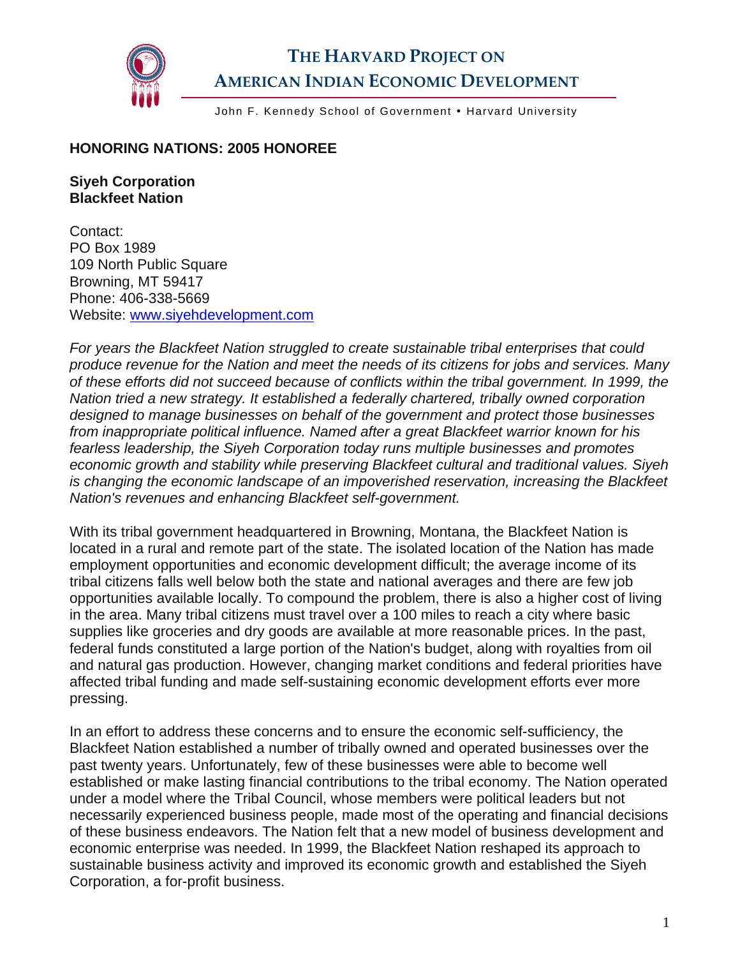

## **THE HARVARD PROJECT ON AMERICAN INDIAN ECONOMIC DEVELOPMENT**

John F. Kennedy School of Government . Harvard University

## **HONORING NATIONS: 2005 HONOREE**

## **Siyeh Corporation Blackfeet Nation**

Contact: PO Box 1989 109 North Public Square Browning, MT 59417 Phone: 406-338-5669 Website: [www.siyehdevelopment.com](http://www.siyehdevelopment.com/) 

*For years the Blackfeet Nation struggled to create sustainable tribal enterprises that could produce revenue for the Nation and meet the needs of its citizens for jobs and services. Many of these efforts did not succeed because of conflicts within the tribal government. In 1999, the Nation tried a new strategy. It established a federally chartered, tribally owned corporation designed to manage businesses on behalf of the government and protect those businesses from inappropriate political influence. Named after a great Blackfeet warrior known for his fearless leadership, the Siyeh Corporation today runs multiple businesses and promotes economic growth and stability while preserving Blackfeet cultural and traditional values. Siyeh is changing the economic landscape of an impoverished reservation, increasing the Blackfeet Nation's revenues and enhancing Blackfeet self-government.* 

With its tribal government headquartered in Browning, Montana, the Blackfeet Nation is located in a rural and remote part of the state. The isolated location of the Nation has made employment opportunities and economic development difficult; the average income of its tribal citizens falls well below both the state and national averages and there are few job opportunities available locally. To compound the problem, there is also a higher cost of living in the area. Many tribal citizens must travel over a 100 miles to reach a city where basic supplies like groceries and dry goods are available at more reasonable prices. In the past, federal funds constituted a large portion of the Nation's budget, along with royalties from oil and natural gas production. However, changing market conditions and federal priorities have affected tribal funding and made self-sustaining economic development efforts ever more pressing.

In an effort to address these concerns and to ensure the economic self-sufficiency, the Blackfeet Nation established a number of tribally owned and operated businesses over the past twenty years. Unfortunately, few of these businesses were able to become well established or make lasting financial contributions to the tribal economy. The Nation operated under a model where the Tribal Council, whose members were political leaders but not necessarily experienced business people, made most of the operating and financial decisions of these business endeavors. The Nation felt that a new model of business development and economic enterprise was needed. In 1999, the Blackfeet Nation reshaped its approach to sustainable business activity and improved its economic growth and established the Siyeh Corporation, a for-profit business.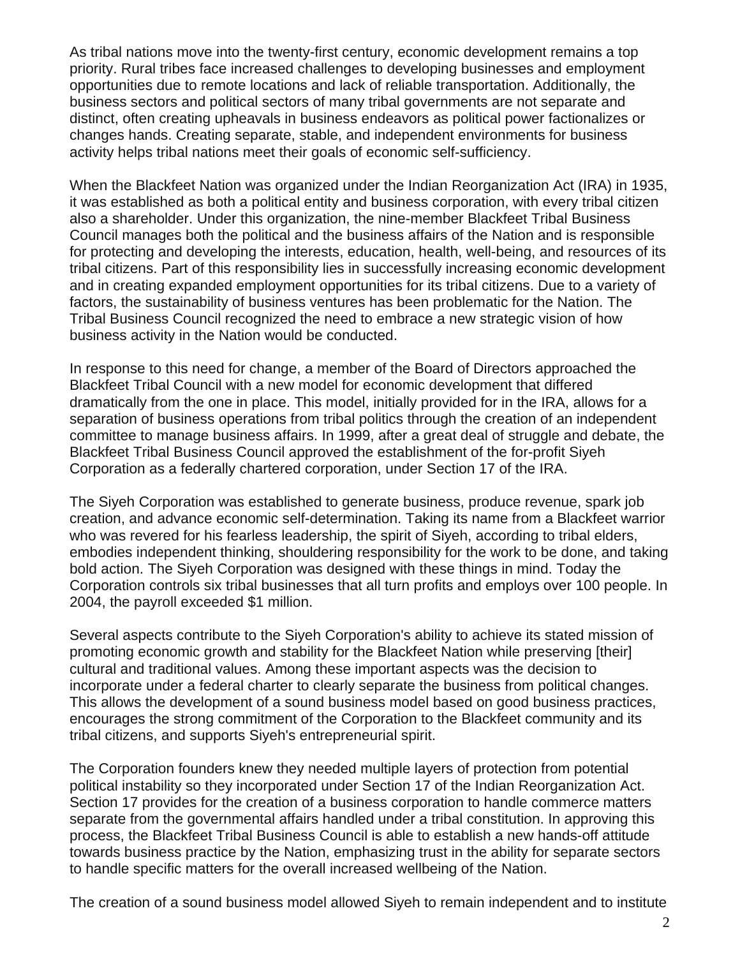As tribal nations move into the twenty-first century, economic development remains a top priority. Rural tribes face increased challenges to developing businesses and employment opportunities due to remote locations and lack of reliable transportation. Additionally, the business sectors and political sectors of many tribal governments are not separate and distinct, often creating upheavals in business endeavors as political power factionalizes or changes hands. Creating separate, stable, and independent environments for business activity helps tribal nations meet their goals of economic self-sufficiency.

When the Blackfeet Nation was organized under the Indian Reorganization Act (IRA) in 1935, it was established as both a political entity and business corporation, with every tribal citizen also a shareholder. Under this organization, the nine-member Blackfeet Tribal Business Council manages both the political and the business affairs of the Nation and is responsible for protecting and developing the interests, education, health, well-being, and resources of its tribal citizens. Part of this responsibility lies in successfully increasing economic development and in creating expanded employment opportunities for its tribal citizens. Due to a variety of factors, the sustainability of business ventures has been problematic for the Nation. The Tribal Business Council recognized the need to embrace a new strategic vision of how business activity in the Nation would be conducted.

In response to this need for change, a member of the Board of Directors approached the Blackfeet Tribal Council with a new model for economic development that differed dramatically from the one in place. This model, initially provided for in the IRA, allows for a separation of business operations from tribal politics through the creation of an independent committee to manage business affairs. In 1999, after a great deal of struggle and debate, the Blackfeet Tribal Business Council approved the establishment of the for-profit Siyeh Corporation as a federally chartered corporation, under Section 17 of the IRA.

The Siyeh Corporation was established to generate business, produce revenue, spark job creation, and advance economic self-determination. Taking its name from a Blackfeet warrior who was revered for his fearless leadership, the spirit of Siyeh, according to tribal elders, embodies independent thinking, shouldering responsibility for the work to be done, and taking bold action. The Siyeh Corporation was designed with these things in mind. Today the Corporation controls six tribal businesses that all turn profits and employs over 100 people. In 2004, the payroll exceeded \$1 million.

Several aspects contribute to the Siyeh Corporation's ability to achieve its stated mission of promoting economic growth and stability for the Blackfeet Nation while preserving [their] cultural and traditional values. Among these important aspects was the decision to incorporate under a federal charter to clearly separate the business from political changes. This allows the development of a sound business model based on good business practices, encourages the strong commitment of the Corporation to the Blackfeet community and its tribal citizens, and supports Siyeh's entrepreneurial spirit.

The Corporation founders knew they needed multiple layers of protection from potential political instability so they incorporated under Section 17 of the Indian Reorganization Act. Section 17 provides for the creation of a business corporation to handle commerce matters separate from the governmental affairs handled under a tribal constitution. In approving this process, the Blackfeet Tribal Business Council is able to establish a new hands-off attitude towards business practice by the Nation, emphasizing trust in the ability for separate sectors to handle specific matters for the overall increased wellbeing of the Nation.

The creation of a sound business model allowed Siyeh to remain independent and to institute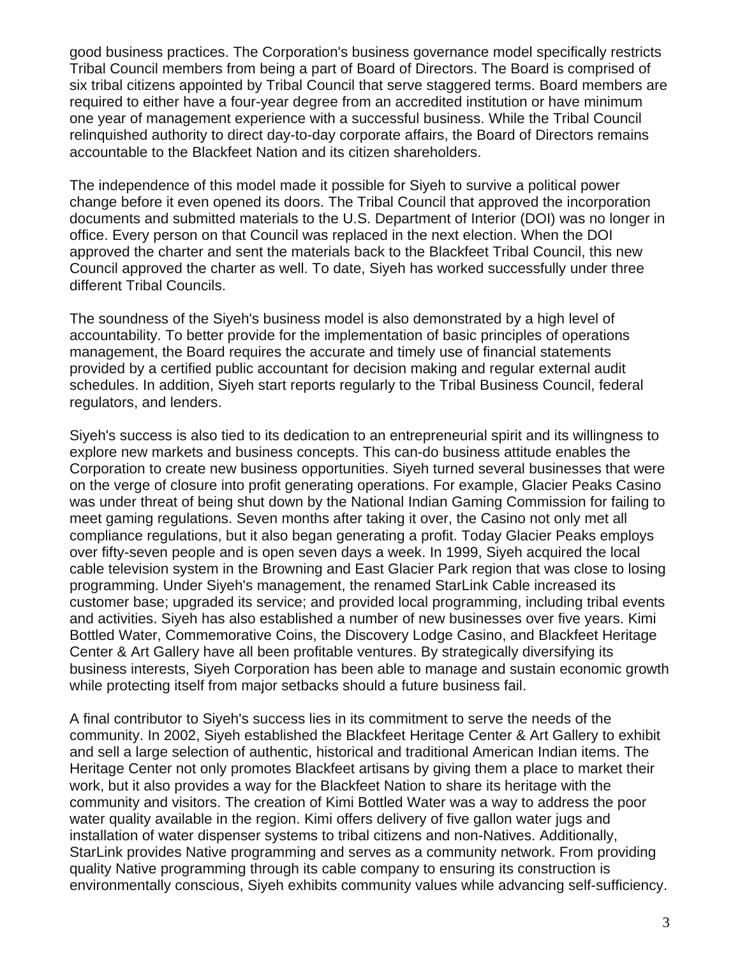good business practices. The Corporation's business governance model specifically restricts Tribal Council members from being a part of Board of Directors. The Board is comprised of six tribal citizens appointed by Tribal Council that serve staggered terms. Board members are required to either have a four-year degree from an accredited institution or have minimum one year of management experience with a successful business. While the Tribal Council relinquished authority to direct day-to-day corporate affairs, the Board of Directors remains accountable to the Blackfeet Nation and its citizen shareholders.

The independence of this model made it possible for Siyeh to survive a political power change before it even opened its doors. The Tribal Council that approved the incorporation documents and submitted materials to the U.S. Department of Interior (DOI) was no longer in office. Every person on that Council was replaced in the next election. When the DOI approved the charter and sent the materials back to the Blackfeet Tribal Council, this new Council approved the charter as well. To date, Siyeh has worked successfully under three different Tribal Councils.

The soundness of the Siyeh's business model is also demonstrated by a high level of accountability. To better provide for the implementation of basic principles of operations management, the Board requires the accurate and timely use of financial statements provided by a certified public accountant for decision making and regular external audit schedules. In addition, Siyeh start reports regularly to the Tribal Business Council, federal regulators, and lenders.

Siyeh's success is also tied to its dedication to an entrepreneurial spirit and its willingness to explore new markets and business concepts. This can-do business attitude enables the Corporation to create new business opportunities. Siyeh turned several businesses that were on the verge of closure into profit generating operations. For example, Glacier Peaks Casino was under threat of being shut down by the National Indian Gaming Commission for failing to meet gaming regulations. Seven months after taking it over, the Casino not only met all compliance regulations, but it also began generating a profit. Today Glacier Peaks employs over fifty-seven people and is open seven days a week. In 1999, Siyeh acquired the local cable television system in the Browning and East Glacier Park region that was close to losing programming. Under Siyeh's management, the renamed StarLink Cable increased its customer base; upgraded its service; and provided local programming, including tribal events and activities. Siyeh has also established a number of new businesses over five years. Kimi Bottled Water, Commemorative Coins, the Discovery Lodge Casino, and Blackfeet Heritage Center & Art Gallery have all been profitable ventures. By strategically diversifying its business interests, Siyeh Corporation has been able to manage and sustain economic growth while protecting itself from major setbacks should a future business fail.

A final contributor to Siyeh's success lies in its commitment to serve the needs of the community. In 2002, Siyeh established the Blackfeet Heritage Center & Art Gallery to exhibit and sell a large selection of authentic, historical and traditional American Indian items. The Heritage Center not only promotes Blackfeet artisans by giving them a place to market their work, but it also provides a way for the Blackfeet Nation to share its heritage with the community and visitors. The creation of Kimi Bottled Water was a way to address the poor water quality available in the region. Kimi offers delivery of five gallon water jugs and installation of water dispenser systems to tribal citizens and non-Natives. Additionally, StarLink provides Native programming and serves as a community network. From providing quality Native programming through its cable company to ensuring its construction is environmentally conscious, Siyeh exhibits community values while advancing self-sufficiency.